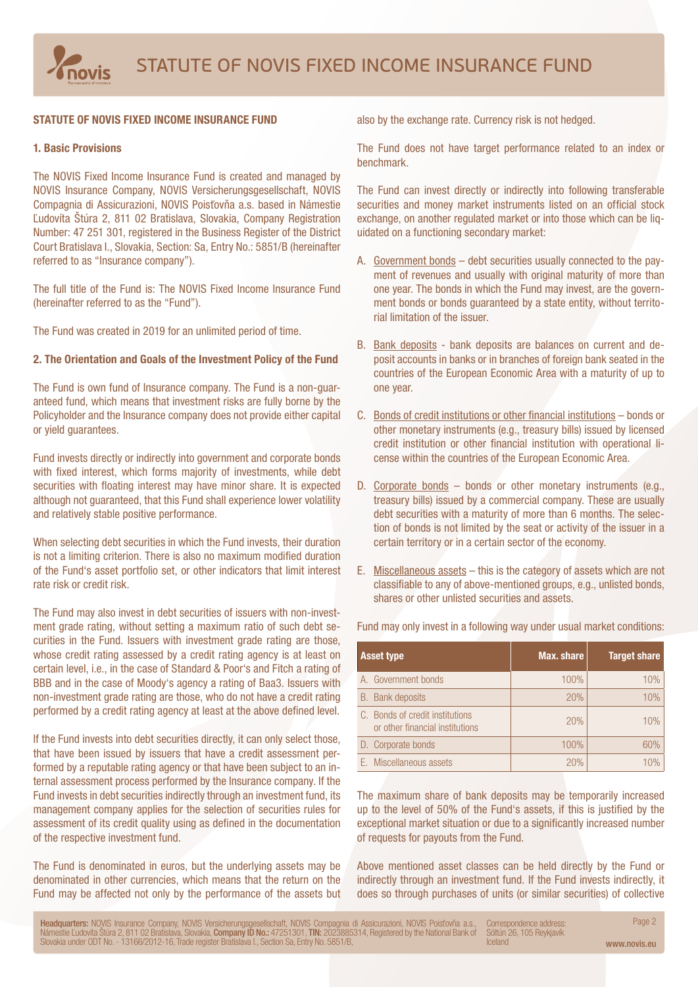# STATUTE OF NOVIS FIXED INCOME INSURANCE FUND

# 1. Basic Provisions

The NOVIS Fixed Income Insurance Fund is created and managed by NOVIS Insurance Company, NOVIS Versicherungsgesellschaft, NOVIS Compagnia di Assicurazioni, NOVIS Poisťovňa a.s. based in Námestie Ľudovíta Štúra 2, 811 02 Bratislava, Slovakia, Company Registration Number: 47 251 301, registered in the Business Register of the District Court Bratislava I., Slovakia, Section: Sa, Entry No.: 5851/B (hereinafter referred to as "Insurance company").

The full title of the Fund is: The NOVIS Fixed Income Insurance Fund (hereinafter referred to as the "Fund").

The Fund was created in 2019 for an unlimited period of time.

#### 2. The Orientation and Goals of the Investment Policy of the Fund

The Fund is own fund of Insurance company. The Fund is a non-guaranteed fund, which means that investment risks are fully borne by the Policyholder and the Insurance company does not provide either capital or yield guarantees.

Fund invests directly or indirectly into government and corporate bonds with fixed interest, which forms majority of investments, while debt securities with floating interest may have minor share. It is expected although not guaranteed, that this Fund shall experience lower volatility and relatively stable positive performance.

When selecting debt securities in which the Fund invests, their duration is not a limiting criterion. There is also no maximum modified duration of the Fund's asset portfolio set, or other indicators that limit interest rate risk or credit risk.

The Fund may also invest in debt securities of issuers with non-investment grade rating, without setting a maximum ratio of such debt securities in the Fund. Issuers with investment grade rating are those, whose credit rating assessed by a credit rating agency is at least on certain level, i.e., in the case of Standard & Poor's and Fitch a rating of BBB and in the case of Moody's agency a rating of Baa3. Issuers with non-investment grade rating are those, who do not have a credit rating performed by a credit rating agency at least at the above defined level.

If the Fund invests into debt securities directly, it can only select those, that have been issued by issuers that have a credit assessment performed by a reputable rating agency or that have been subject to an internal assessment process performed by the Insurance company. If the Fund invests in debt securities indirectly through an investment fund, its management company applies for the selection of securities rules for assessment of its credit quality using as defined in the documentation of the respective investment fund.

The Fund is denominated in euros, but the underlying assets may be denominated in other currencies, which means that the return on the Fund may be affected not only by the performance of the assets but also by the exchange rate. Currency risk is not hedged.

The Fund does not have target performance related to an index or benchmark.

The Fund can invest directly or indirectly into following transferable securities and money market instruments listed on an official stock exchange, on another regulated market or into those which can be liquidated on a functioning secondary market:

- A. Government bonds debt securities usually connected to the payment of revenues and usually with original maturity of more than one year. The bonds in which the Fund may invest, are the government bonds or bonds guaranteed by a state entity, without territorial limitation of the issuer.
- B. Bank deposits bank deposits are balances on current and deposit accounts in banks or in branches of foreign bank seated in the countries of the European Economic Area with a maturity of up to one year.
- C. Bonds of credit institutions or other financial institutions bonds or other monetary instruments (e.g., treasury bills) issued by licensed credit institution or other financial institution with operational license within the countries of the European Economic Area.
- D. Corporate bonds bonds or other monetary instruments (e.g., treasury bills) issued by a commercial company. These are usually debt securities with a maturity of more than 6 months. The selection of bonds is not limited by the seat or activity of the issuer in a certain territory or in a certain sector of the economy.
- E. Miscellaneous assets this is the category of assets which are not classifiable to any of above-mentioned groups, e.g., unlisted bonds, shares or other unlisted securities and assets.

| <b>Asset type</b>                                                  | Max. share | <b>Target share</b> |
|--------------------------------------------------------------------|------------|---------------------|
| A. Government bonds                                                | 100%       | 10%                 |
| <b>B.</b> Bank deposits                                            | 20%        | 10%                 |
| C. Bonds of credit institutions<br>or other financial institutions | 20%        | 10%                 |
| D. Corporate bonds                                                 | 100%       | 60%                 |
| E. Miscellaneous assets                                            | 20%        | 1 በ%                |

Fund may only invest in a following way under usual market conditions:

The maximum share of bank deposits may be temporarily increased up to the level of 50% of the Fund's assets, if this is justified by the exceptional market situation or due to a significantly increased number of requests for payouts from the Fund.

Above mentioned asset classes can be held directly by the Fund or indirectly through an investment fund. If the Fund invests indirectly, it does so through purchases of units (or similar securities) of collective

Headquarters: NOVIS Insurance Company, NOVIS Versicherungsgesellschaft, NOVIS Compagnia di Assicurazioni, NOVIS Poisťovňa a.s., Correspondence address: Page 2 Námestie Ľudovíta Štúra 2, 811 02 Bratislava, Slovakia, **Company ID No.:** 47251301, **TIN:** 2023885314, Registered by the National Bank of Slovakia under ODT No. - 13166/2012-16, Trade register Bratislava I., Section Sa, Entry No. 5851/B, Correspondence address: Sóltún 26, 105 Reykjavík Iceland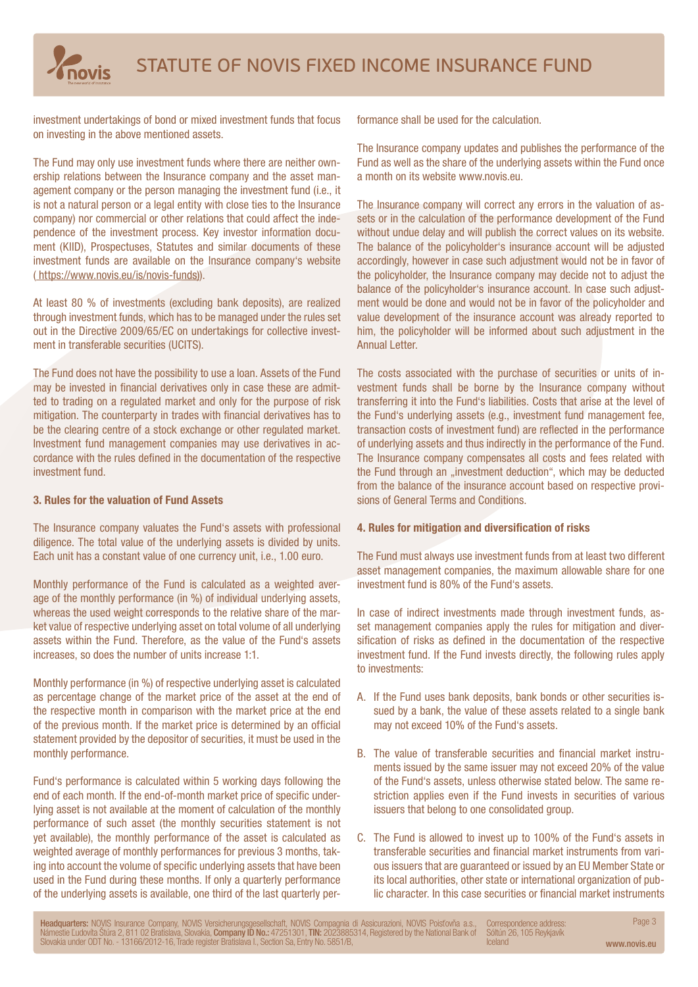

investment undertakings of bond or mixed investment funds that focus on investing in the above mentioned assets.

The Fund may only use investment funds where there are neither ownership relations between the Insurance company and the asset management company or the person managing the investment fund (i.e., it is not a natural person or a legal entity with close ties to the Insurance company) nor commercial or other relations that could affect the independence of the investment process. Key investor information document (KIID), Prospectuses, Statutes and similar documents of these investment funds are available on the Insurance company's website ( https://www.novis.eu/is/novis-funds)).

At least 80 % of investments (excluding bank deposits), are realized through investment funds, which has to be managed under the rules set out in the Directive 2009/65/EC on undertakings for collective investment in transferable securities (UCITS).

The Fund does not have the possibility to use a loan. Assets of the Fund may be invested in financial derivatives only in case these are admitted to trading on a regulated market and only for the purpose of risk mitigation. The counterparty in trades with financial derivatives has to be the clearing centre of a stock exchange or other regulated market. Investment fund management companies may use derivatives in accordance with the rules defined in the documentation of the respective investment fund.

## 3. Rules for the valuation of Fund Assets

The Insurance company valuates the Fund's assets with professional diligence. The total value of the underlying assets is divided by units. Each unit has a constant value of one currency unit, i.e., 1.00 euro.

Monthly performance of the Fund is calculated as a weighted average of the monthly performance (in %) of individual underlying assets, whereas the used weight corresponds to the relative share of the market value of respective underlying asset on total volume of all underlying assets within the Fund. Therefore, as the value of the Fund's assets increases, so does the number of units increase 1:1.

Monthly performance (in %) of respective underlying asset is calculated as percentage change of the market price of the asset at the end of the respective month in comparison with the market price at the end of the previous month. If the market price is determined by an official statement provided by the depositor of securities, it must be used in the monthly performance.

Fund's performance is calculated within 5 working days following the end of each month. If the end-of-month market price of specific underlying asset is not available at the moment of calculation of the monthly performance of such asset (the monthly securities statement is not yet available), the monthly performance of the asset is calculated as weighted average of monthly performances for previous 3 months, taking into account the volume of specific underlying assets that have been used in the Fund during these months. If only a quarterly performance of the underlying assets is available, one third of the last quarterly performance shall be used for the calculation.

The Insurance company updates and publishes the performance of the Fund as well as the share of the underlying assets within the Fund once a month on its website www.novis.eu.

The Insurance company will correct any errors in the valuation of assets or in the calculation of the performance development of the Fund without undue delay and will publish the correct values on its website. The balance of the policyholder's insurance account will be adjusted accordingly, however in case such adjustment would not be in favor of the policyholder, the Insurance company may decide not to adjust the balance of the policyholder's insurance account. In case such adjustment would be done and would not be in favor of the policyholder and value development of the insurance account was already reported to him, the policyholder will be informed about such adjustment in the Annual Letter.

The costs associated with the purchase of securities or units of investment funds shall be borne by the Insurance company without transferring it into the Fund's liabilities. Costs that arise at the level of the Fund's underlying assets (e.g., investment fund management fee, transaction costs of investment fund) are reflected in the performance of underlying assets and thus indirectly in the performance of the Fund. The Insurance company compensates all costs and fees related with the Fund through an "investment deduction", which may be deducted from the balance of the insurance account based on respective provisions of General Terms and Conditions.

## 4. Rules for mitigation and diversification of risks

The Fund must always use investment funds from at least two different asset management companies, the maximum allowable share for one investment fund is 80% of the Fund's assets.

In case of indirect investments made through investment funds, asset management companies apply the rules for mitigation and diversification of risks as defined in the documentation of the respective investment fund. If the Fund invests directly, the following rules apply to investments:

- A. If the Fund uses bank deposits, bank bonds or other securities issued by a bank, the value of these assets related to a single bank may not exceed 10% of the Fund's assets.
- B. The value of transferable securities and financial market instruments issued by the same issuer may not exceed 20% of the value of the Fund's assets, unless otherwise stated below. The same restriction applies even if the Fund invests in securities of various issuers that belong to one consolidated group.
- C. The Fund is allowed to invest up to 100% of the Fund's assets in transferable securities and financial market instruments from various issuers that are guaranteed or issued by an EU Member State or its local authorities, other state or international organization of public character. In this case securities or financial market instruments

Headquarters: NOVIS Insurance Company, NOVIS Versicherungsgesellschaft, NOVIS Compagnia di Assicurazioni, NOVIS Poisťovňa a.s., Correspondence address: Page 3 Námestie Ľudovíta Štúra 2, 811 02 Bratislava, Slovakia, **Company ID No.:** 47251301, **TIN:** 2023885314, Registered by the National Bank of<br>Slovakia under ODT No. - 13166/2012-16, Trade register Bratislava I., Section Sa, En Correspondence address: Sóltún 26, 105 Reykjavík Iceland